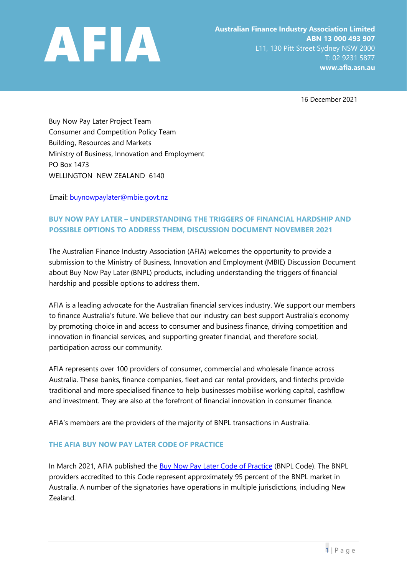

16 December 2021

Buy Now Pay Later Project Team Consumer and Competition Policy Team Building, Resources and Markets Ministry of Business, Innovation and Employment PO Box 1473 WELLINGTON NEW ZEALAND 6140

Email: buynowpaylater@mbie.govt.nz

# **BUY NOW PAY LATER – UNDERSTANDING THE TRIGGERS OF FINANCIAL HARDSHIP AND POSSIBLE OPTIONS TO ADDRESS THEM, DISCUSSION DOCUMENT NOVEMBER 2021**

The Australian Finance Industry Association (AFIA) welcomes the opportunity to provide a submission to the Ministry of Business, Innovation and Employment (MBIE) Discussion Document about Buy Now Pay Later (BNPL) products, including understanding the triggers of financial hardship and possible options to address them.

AFIA is a leading advocate for the Australian financial services industry. We support our members to finance Australia's future. We believe that our industry can best support Australia's economy by promoting choice in and access to consumer and business finance, driving competition and innovation in financial services, and supporting greater financial, and therefore social, participation across our community.

AFIA represents over 100 providers of consumer, commercial and wholesale finance across Australia. These banks, finance companies, fleet and car rental providers, and fintechs provide traditional and more specialised finance to help businesses mobilise working capital, cashflow and investment. They are also at the forefront of financial innovation in consumer finance.

AFIA's members are the providers of the majority of BNPL transactions in Australia.

### **THE AFIA BUY NOW PAY LATER CODE OF PRACTICE**

In March 2021, AFIA publish[e](https://afia.asn.au/files/galleries/AFIA_Code_of_Practice_for_Buy_Now_Pay_Later_Providers.pdf)d the [Buy Now Pay Later Code of Practice](https://afia.asn.au/files/galleries/AFIA_Code_of_Practice_for_Buy_Now_Pay_Later_Providers.pdf) (BNPL Code). The BNPL providers accredited to this Code represent approximately 95 percent of the BNPL market in Australia. A number of the signatories have operations in multiple jurisdictions, including New Zealand.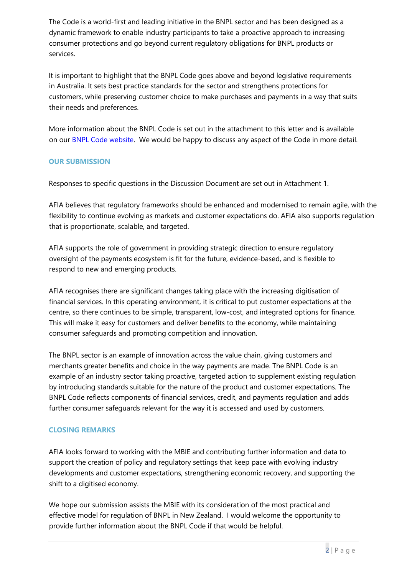The Code is a world-first and leading initiative in the BNPL sector and has been designed as a dynamic framework to enable industry participants to take a proactive approach to increasing consumer protections and go beyond current regulatory obligations for BNPL products or services.

It is important to highlight that the BNPL Code goes above and beyond legislative requirements in Australia. It sets best practice standards for the sector and strengthens protections for customers, while preserving customer choice to make purchases and payments in a way that suits their needs and preferences.

More information about the BNPL Code is set out in the attachment to this letter and is available on our [BNPL Code website.](https://afia.asn.au/AFIA-Buy-Now-Pay-Later-Code-of-Practice) We would be happy to discuss any aspect of the Code in more detail.

### **OUR SUBMISSION**

Responses to specific questions in the Discussion Document are set out in Attachment 1.

AFIA believes that regulatory frameworks should be enhanced and modernised to remain agile, with the flexibility to continue evolving as markets and customer expectations do. AFIA also supports regulation that is proportionate, scalable, and targeted.

AFIA supports the role of government in providing strategic direction to ensure regulatory oversight of the payments ecosystem is fit for the future, evidence-based, and is flexible to respond to new and emerging products.

AFIA recognises there are significant changes taking place with the increasing digitisation of financial services. In this operating environment, it is critical to put customer expectations at the centre, so there continues to be simple, transparent, low-cost, and integrated options for finance. This will make it easy for customers and deliver benefits to the economy, while maintaining consumer safeguards and promoting competition and innovation.

The BNPL sector is an example of innovation across the value chain, giving customers and merchants greater benefits and choice in the way payments are made. The BNPL Code is an example of an industry sector taking proactive, targeted action to supplement existing regulation by introducing standards suitable for the nature of the product and customer expectations. The BNPL Code reflects components of financial services, credit, and payments regulation and adds further consumer safeguards relevant for the way it is accessed and used by customers.

#### **CLOSING REMARKS**

AFIA looks forward to working with the MBIE and contributing further information and data to support the creation of policy and regulatory settings that keep pace with evolving industry developments and customer expectations, strengthening economic recovery, and supporting the shift to a digitised economy.

We hope our submission assists the MBIE with its consideration of the most practical and effective model for regulation of BNPL in New Zealand. I would welcome the opportunity to provide further information about the BNPL Code if that would be helpful.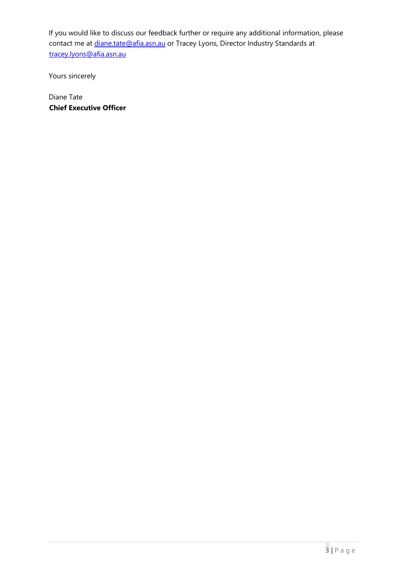If you would like to discuss our feedback further or require any additional information, please contact me at *diane.tate@afia.asn.au* or Tracey Lyons, Director Industry Standards at tracey.lyons@afia.asn.au

Yours sincerely

Diane Tate **Chief Executive Officer**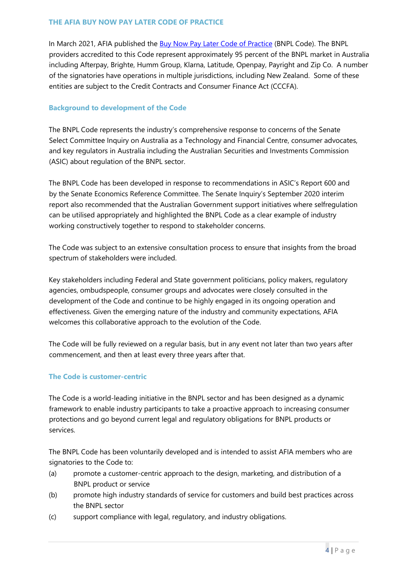In March 2021, AFIA published the [Buy Now Pay Later Code of Practice](https://afia.asn.au/files/galleries/AFIA_Code_of_Practice_for_Buy_Now_Pay_Later_Providers.pdf) (BNPL Code). The BNPL providers accredited to this Code represent approximately 95 percent of the BNPL market in Australia including Afterpay, Brighte, Humm Group, Klarna, Latitude, Openpay, Payright and Zip Co. A number of the signatories have operations in multiple jurisdictions, including New Zealand. Some of these entities are subject to the Credit Contracts and Consumer Finance Act (CCCFA).

### **Background to development of the Code**

The BNPL Code represents the industry's comprehensive response to concerns of the Senate Select Committee Inquiry on Australia as a Technology and Financial Centre, consumer advocates, and key regulators in Australia including the Australian Securities and Investments Commission (ASIC) about regulation of the BNPL sector.

The BNPL Code has been developed in response to recommendations in ASIC's Report 600 and by the Senate Economics Reference Committee. The Senate Inquiry's September 2020 interim report also recommended that the Australian Government support initiatives where selfregulation can be utilised appropriately and highlighted the BNPL Code as a clear example of industry working constructively together to respond to stakeholder concerns.

The Code was subject to an extensive consultation process to ensure that insights from the broad spectrum of stakeholders were included.

Key stakeholders including Federal and State government politicians, policy makers, regulatory agencies, ombudspeople, consumer groups and advocates were closely consulted in the development of the Code and continue to be highly engaged in its ongoing operation and effectiveness. Given the emerging nature of the industry and community expectations, AFIA welcomes this collaborative approach to the evolution of the Code.

The Code will be fully reviewed on a regular basis, but in any event not later than two years after commencement, and then at least every three years after that.

#### **The Code is customer-centric**

The Code is a world-leading initiative in the BNPL sector and has been designed as a dynamic framework to enable industry participants to take a proactive approach to increasing consumer protections and go beyond current legal and regulatory obligations for BNPL products or services.

The BNPL Code has been voluntarily developed and is intended to assist AFIA members who are signatories to the Code to:

- (a) promote a customer-centric approach to the design, marketing, and distribution of a BNPL product or service
- (b) promote high industry standards of service for customers and build best practices across the BNPL sector
- (c) support compliance with legal, regulatory, and industry obligations.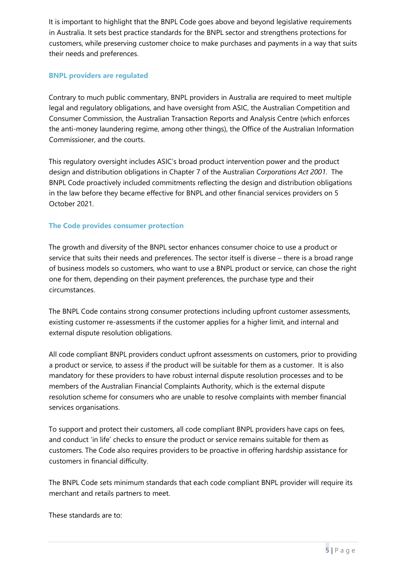It is important to highlight that the BNPL Code goes above and beyond legislative requirements in Australia. It sets best practice standards for the BNPL sector and strengthens protections for customers, while preserving customer choice to make purchases and payments in a way that suits their needs and preferences.

#### **BNPL providers are regulated**

Contrary to much public commentary, BNPL providers in Australia are required to meet multiple legal and regulatory obligations, and have oversight from ASIC, the Australian Competition and Consumer Commission, the Australian Transaction Reports and Analysis Centre (which enforces the anti-money laundering regime, among other things), the Office of the Australian Information Commissioner, and the courts.

This regulatory oversight includes ASIC's broad product intervention power and the product design and distribution obligations in Chapter 7 of the Australian *Corporations Act 2001*. The BNPL Code proactively included commitments reflecting the design and distribution obligations in the law before they became effective for BNPL and other financial services providers on 5 October 2021.

#### **The Code provides consumer protection**

The growth and diversity of the BNPL sector enhances consumer choice to use a product or service that suits their needs and preferences. The sector itself is diverse – there is a broad range of business models so customers, who want to use a BNPL product or service, can chose the right one for them, depending on their payment preferences, the purchase type and their circumstances.

The BNPL Code contains strong consumer protections including upfront customer assessments, existing customer re-assessments if the customer applies for a higher limit, and internal and external dispute resolution obligations.

All code compliant BNPL providers conduct upfront assessments on customers, prior to providing a product or service, to assess if the product will be suitable for them as a customer. It is also mandatory for these providers to have robust internal dispute resolution processes and to be members of the Australian Financial Complaints Authority, which is the external dispute resolution scheme for consumers who are unable to resolve complaints with member financial services organisations.

To support and protect their customers, all code compliant BNPL providers have caps on fees, and conduct 'in life' checks to ensure the product or service remains suitable for them as customers. The Code also requires providers to be proactive in offering hardship assistance for customers in financial difficulty.

The BNPL Code sets minimum standards that each code compliant BNPL provider will require its merchant and retails partners to meet.

These standards are to: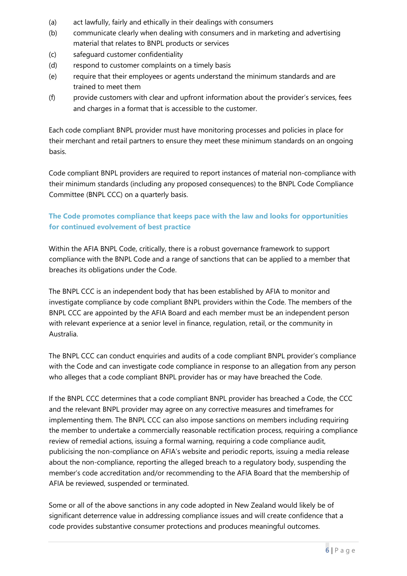- (a) act lawfully, fairly and ethically in their dealings with consumers
- (b) communicate clearly when dealing with consumers and in marketing and advertising material that relates to BNPL products or services
- (c) safeguard customer confidentiality
- (d) respond to customer complaints on a timely basis
- (e) require that their employees or agents understand the minimum standards and are trained to meet them
- (f) provide customers with clear and upfront information about the provider's services, fees and charges in a format that is accessible to the customer.

Each code compliant BNPL provider must have monitoring processes and policies in place for their merchant and retail partners to ensure they meet these minimum standards on an ongoing basis.

Code compliant BNPL providers are required to report instances of material non-compliance with their minimum standards (including any proposed consequences) to the BNPL Code Compliance Committee (BNPL CCC) on a quarterly basis.

## **The Code promotes compliance that keeps pace with the law and looks for opportunities for continued evolvement of best practice**

Within the AFIA BNPL Code, critically, there is a robust governance framework to support compliance with the BNPL Code and a range of sanctions that can be applied to a member that breaches its obligations under the Code.

The BNPL CCC is an independent body that has been established by AFIA to monitor and investigate compliance by code compliant BNPL providers within the Code. The members of the BNPL CCC are appointed by the AFIA Board and each member must be an independent person with relevant experience at a senior level in finance, regulation, retail, or the community in Australia.

The BNPL CCC can conduct enquiries and audits of a code compliant BNPL provider's compliance with the Code and can investigate code compliance in response to an allegation from any person who alleges that a code compliant BNPL provider has or may have breached the Code.

If the BNPL CCC determines that a code compliant BNPL provider has breached a Code, the CCC and the relevant BNPL provider may agree on any corrective measures and timeframes for implementing them. The BNPL CCC can also impose sanctions on members including requiring the member to undertake a commercially reasonable rectification process, requiring a compliance review of remedial actions, issuing a formal warning, requiring a code compliance audit, publicising the non-compliance on AFIA's website and periodic reports, issuing a media release about the non-compliance, reporting the alleged breach to a regulatory body, suspending the member's code accreditation and/or recommending to the AFIA Board that the membership of AFIA be reviewed, suspended or terminated.

Some or all of the above sanctions in any code adopted in New Zealand would likely be of significant deterrence value in addressing compliance issues and will create confidence that a code provides substantive consumer protections and produces meaningful outcomes.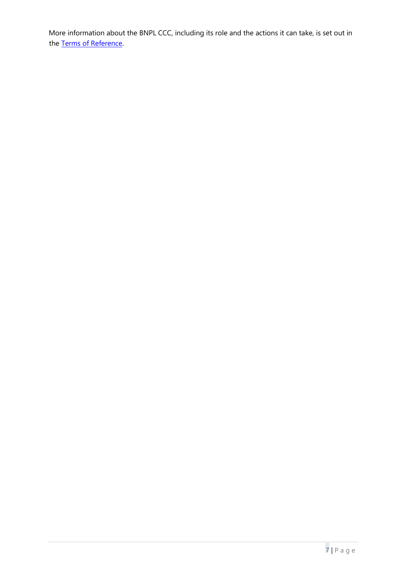More information about the BNPL CCC, including its role and the actions it can take, is set out in the [Terms of Reference.](https://afia.asn.au/files/galleries/AFIA_BNPL_Code_of_Practice_Terms_of_Reference.pdf)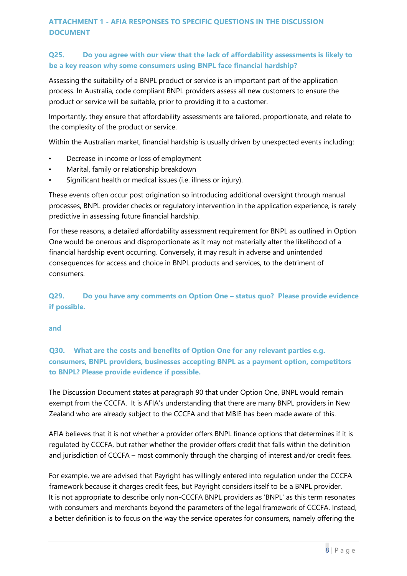### **ATTACHMENT 1 - AFIA RESPONSES TO SPECIFIC QUESTIONS IN THE DISCUSSION DOCUMENT**

### **Q25. Do you agree with our view that the lack of affordability assessments is likely to be a key reason why some consumers using BNPL face financial hardship?**

Assessing the suitability of a BNPL product or service is an important part of the application process. In Australia, code compliant BNPL providers assess all new customers to ensure the product or service will be suitable, prior to providing it to a customer.

Importantly, they ensure that affordability assessments are tailored, proportionate, and relate to the complexity of the product or service.

Within the Australian market, financial hardship is usually driven by unexpected events including:

- Decrease in income or loss of employment
- Marital, family or relationship breakdown
- Significant health or medical issues (i.e. illness or injury).

These events often occur post origination so introducing additional oversight through manual processes, BNPL provider checks or regulatory intervention in the application experience, is rarely predictive in assessing future financial hardship.

For these reasons, a detailed affordability assessment requirement for BNPL as outlined in Option One would be onerous and disproportionate as it may not materially alter the likelihood of a financial hardship event occurring. Conversely, it may result in adverse and unintended consequences for access and choice in BNPL products and services, to the detriment of consumers.

## **Q29. Do you have any comments on Option One – status quo? Please provide evidence if possible.**

**and** 

**Q30. What are the costs and benefits of Option One for any relevant parties e.g. consumers, BNPL providers, businesses accepting BNPL as a payment option, competitors to BNPL? Please provide evidence if possible.** 

The Discussion Document states at paragraph 90 that under Option One, BNPL would remain exempt from the CCCFA. It is AFIA's understanding that there are many BNPL providers in New Zealand who are already subject to the CCCFA and that MBIE has been made aware of this.

AFIA believes that it is not whether a provider offers BNPL finance options that determines if it is regulated by CCCFA, but rather whether the provider offers credit that falls within the definition and jurisdiction of CCCFA – most commonly through the charging of interest and/or credit fees.

For example, we are advised that Payright has willingly entered into regulation under the CCCFA framework because it charges credit fees, but Payright considers itself to be a BNPL provider. It is not appropriate to describe only non-CCCFA BNPL providers as 'BNPL' as this term resonates with consumers and merchants beyond the parameters of the legal framework of CCCFA. Instead, a better definition is to focus on the way the service operates for consumers, namely offering the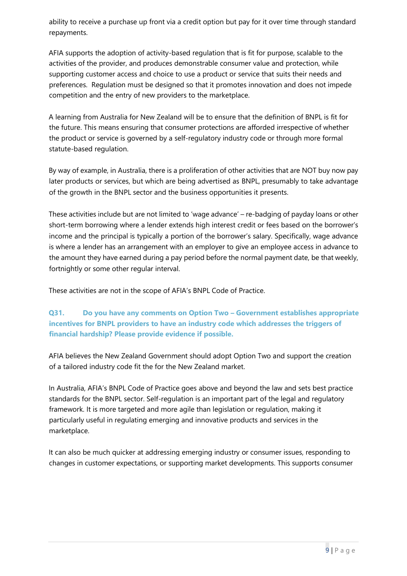ability to receive a purchase up front via a credit option but pay for it over time through standard repayments.

AFIA supports the adoption of activity-based regulation that is fit for purpose, scalable to the activities of the provider, and produces demonstrable consumer value and protection, while supporting customer access and choice to use a product or service that suits their needs and preferences. Regulation must be designed so that it promotes innovation and does not impede competition and the entry of new providers to the marketplace.

A learning from Australia for New Zealand will be to ensure that the definition of BNPL is fit for the future. This means ensuring that consumer protections are afforded irrespective of whether the product or service is governed by a self-regulatory industry code or through more formal statute-based regulation.

By way of example, in Australia, there is a proliferation of other activities that are NOT buy now pay later products or services, but which are being advertised as BNPL, presumably to take advantage of the growth in the BNPL sector and the business opportunities it presents.

These activities include but are not limited to 'wage advance' – re-badging of payday loans or other short-term borrowing where a lender extends high interest credit or fees based on the borrower's income and the principal is typically a portion of the borrower's salary. Specifically, wage advance is where a lender has an arrangement with an employer to give an employee access in advance to the amount they have earned during a pay period before the normal payment date, be that weekly, fortnightly or some other regular interval.

These activities are not in the scope of AFIA's BNPL Code of Practice.

# **Q31. Do you have any comments on Option Two – Government establishes appropriate incentives for BNPL providers to have an industry code which addresses the triggers of financial hardship? Please provide evidence if possible.**

AFIA believes the New Zealand Government should adopt Option Two and support the creation of a tailored industry code fit the for the New Zealand market.

In Australia, AFIA's BNPL Code of Practice goes above and beyond the law and sets best practice standards for the BNPL sector. Self-regulation is an important part of the legal and regulatory framework. It is more targeted and more agile than legislation or regulation, making it particularly useful in regulating emerging and innovative products and services in the marketplace.

It can also be much quicker at addressing emerging industry or consumer issues, responding to changes in customer expectations, or supporting market developments. This supports consumer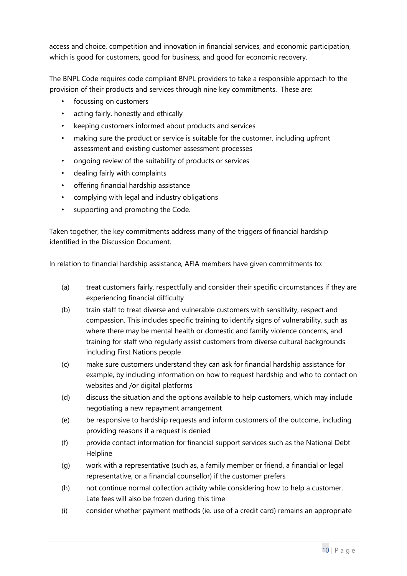access and choice, competition and innovation in financial services, and economic participation, which is good for customers, good for business, and good for economic recovery.

The BNPL Code requires code compliant BNPL providers to take a responsible approach to the provision of their products and services through nine key commitments. These are:

- focussing on customers
- acting fairly, honestly and ethically
- keeping customers informed about products and services
- making sure the product or service is suitable for the customer, including upfront assessment and existing customer assessment processes
- ongoing review of the suitability of products or services
- dealing fairly with complaints
- offering financial hardship assistance
- complying with legal and industry obligations
- supporting and promoting the Code.

Taken together, the key commitments address many of the triggers of financial hardship identified in the Discussion Document.

In relation to financial hardship assistance, AFIA members have given commitments to:

- (a) treat customers fairly, respectfully and consider their specific circumstances if they are experiencing financial difficulty
- (b) train staff to treat diverse and vulnerable customers with sensitivity, respect and compassion. This includes specific training to identify signs of vulnerability, such as where there may be mental health or domestic and family violence concerns, and training for staff who regularly assist customers from diverse cultural backgrounds including First Nations people
- (c) make sure customers understand they can ask for financial hardship assistance for example, by including information on how to request hardship and who to contact on websites and /or digital platforms
- (d) discuss the situation and the options available to help customers, which may include negotiating a new repayment arrangement
- (e) be responsive to hardship requests and inform customers of the outcome, including providing reasons if a request is denied
- (f) provide contact information for financial support services such as the National Debt **Helpline**
- (g) work with a representative (such as, a family member or friend, a financial or legal representative, or a financial counsellor) if the customer prefers
- (h) not continue normal collection activity while considering how to help a customer. Late fees will also be frozen during this time
- (i) consider whether payment methods (ie. use of a credit card) remains an appropriate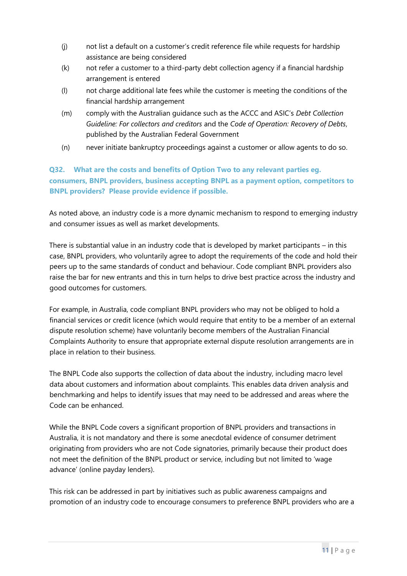- (j) not list a default on a customer's credit reference file while requests for hardship assistance are being considered
- (k) not refer a customer to a third-party debt collection agency if a financial hardship arrangement is entered
- (l) not charge additional late fees while the customer is meeting the conditions of the financial hardship arrangement
- (m) comply with the Australian guidance such as the ACCC and ASIC's *Debt Collection Guideline: For collectors and creditors* and the *Code of Operation: Recovery of Debts*, published by the Australian Federal Government
- (n) never initiate bankruptcy proceedings against a customer or allow agents to do so.

# **Q32. What are the costs and benefits of Option Two to any relevant parties eg. consumers, BNPL providers, business accepting BNPL as a payment option, competitors to BNPL providers? Please provide evidence if possible.**

As noted above, an industry code is a more dynamic mechanism to respond to emerging industry and consumer issues as well as market developments.

There is substantial value in an industry code that is developed by market participants – in this case, BNPL providers, who voluntarily agree to adopt the requirements of the code and hold their peers up to the same standards of conduct and behaviour. Code compliant BNPL providers also raise the bar for new entrants and this in turn helps to drive best practice across the industry and good outcomes for customers.

For example, in Australia, code compliant BNPL providers who may not be obliged to hold a financial services or credit licence (which would require that entity to be a member of an external dispute resolution scheme) have voluntarily become members of the Australian Financial Complaints Authority to ensure that appropriate external dispute resolution arrangements are in place in relation to their business.

The BNPL Code also supports the collection of data about the industry, including macro level data about customers and information about complaints. This enables data driven analysis and benchmarking and helps to identify issues that may need to be addressed and areas where the Code can be enhanced.

While the BNPL Code covers a significant proportion of BNPL providers and transactions in Australia, it is not mandatory and there is some anecdotal evidence of consumer detriment originating from providers who are not Code signatories, primarily because their product does not meet the definition of the BNPL product or service, including but not limited to 'wage advance' (online payday lenders).

This risk can be addressed in part by initiatives such as public awareness campaigns and promotion of an industry code to encourage consumers to preference BNPL providers who are a